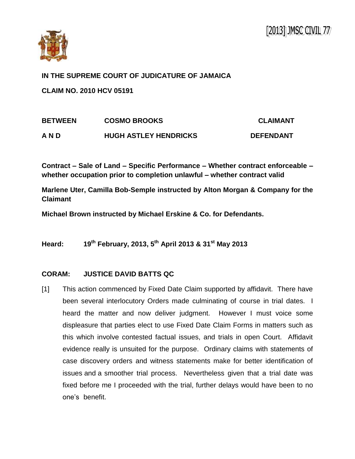

**IN THE SUPREME COURT OF JUDICATURE OF JAMAICA**

**CLAIM NO. 2010 HCV 05191**

| <b>BETWEEN</b> | <b>COSMO BROOKS</b>          | <b>CLAIMANT</b>  |
|----------------|------------------------------|------------------|
| A N D          | <b>HUGH ASTLEY HENDRICKS</b> | <b>DEFENDANT</b> |

**Contract – Sale of Land – Specific Performance – Whether contract enforceable – whether occupation prior to completion unlawful – whether contract valid**

**Marlene Uter, Camilla Bob-Semple instructed by Alton Morgan & Company for the Claimant**

**Michael Brown instructed by Michael Erskine & Co. for Defendants.**

**Heard: 19th February, 2013, 5th April 2013 & 31st May 2013**

## **CORAM: JUSTICE DAVID BATTS QC**

[1] This action commenced by Fixed Date Claim supported by affidavit. There have been several interlocutory Orders made culminating of course in trial dates. I heard the matter and now deliver judgment. However I must voice some displeasure that parties elect to use Fixed Date Claim Forms in matters such as this which involve contested factual issues, and trials in open Court. Affidavit evidence really is unsuited for the purpose. Ordinary claims with statements of case discovery orders and witness statements make for better identification of issues and a smoother trial process. Nevertheless given that a trial date was fixed before me I proceeded with the trial, further delays would have been to no one's benefit.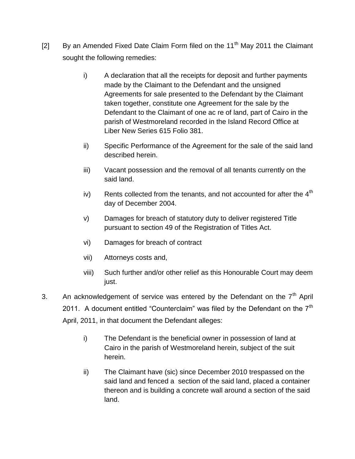- [2] By an Amended Fixed Date Claim Form filed on the  $11<sup>th</sup>$  May 2011 the Claimant sought the following remedies:
	- i) A declaration that all the receipts for deposit and further payments made by the Claimant to the Defendant and the unsigned Agreements for sale presented to the Defendant by the Claimant taken together, constitute one Agreement for the sale by the Defendant to the Claimant of one ac re of land, part of Cairo in the parish of Westmoreland recorded in the Island Record Office at Liber New Series 615 Folio 381.
	- ii) Specific Performance of the Agreement for the sale of the said land described herein.
	- iii) Vacant possession and the removal of all tenants currently on the said land.
	- iv) Rents collected from the tenants, and not accounted for after the  $4<sup>th</sup>$ day of December 2004.
	- v) Damages for breach of statutory duty to deliver registered Title pursuant to section 49 of the Registration of Titles Act.
	- vi) Damages for breach of contract
	- vii) Attorneys costs and,
	- viii) Such further and/or other relief as this Honourable Court may deem just.
- 3. An acknowledgement of service was entered by the Defendant on the  $7<sup>th</sup>$  April 2011. A document entitled "Counterclaim" was filed by the Defendant on the  $7<sup>th</sup>$ April, 2011, in that document the Defendant alleges:
	- i) The Defendant is the beneficial owner in possession of land at Cairo in the parish of Westmoreland herein, subject of the suit herein.
	- ii) The Claimant have (sic) since December 2010 trespassed on the said land and fenced a section of the said land, placed a container thereon and is building a concrete wall around a section of the said land.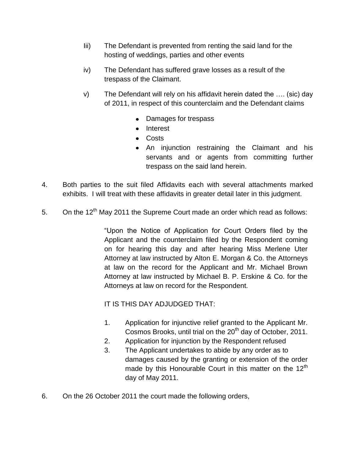- Iii) The Defendant is prevented from renting the said land for the hosting of weddings, parties and other events
- iv) The Defendant has suffered grave losses as a result of the trespass of the Claimant.
- v) The Defendant will rely on his affidavit herein dated the …. (sic) day of 2011, in respect of this counterclaim and the Defendant claims
	- Damages for trespass
	- Interest
	- Costs
	- An injunction restraining the Claimant and his servants and or agents from committing further trespass on the said land herein.
- 4. Both parties to the suit filed Affidavits each with several attachments marked exhibits. I will treat with these affidavits in greater detail later in this judgment.
- 5. On the  $12^{th}$  May 2011 the Supreme Court made an order which read as follows:

"Upon the Notice of Application for Court Orders filed by the Applicant and the counterclaim filed by the Respondent coming on for hearing this day and after hearing Miss Merlene Uter Attorney at law instructed by Alton E. Morgan & Co. the Attorneys at law on the record for the Applicant and Mr. Michael Brown Attorney at law instructed by Michael B. P. Erskine & Co. for the Attorneys at law on record for the Respondent.

IT IS THIS DAY ADJUDGED THAT:

- 1. Application for injunctive relief granted to the Applicant Mr. Cosmos Brooks, until trial on the  $20<sup>th</sup>$  day of October, 2011.
- 2. Application for injunction by the Respondent refused
- 3. The Applicant undertakes to abide by any order as to damages caused by the granting or extension of the order made by this Honourable Court in this matter on the  $12<sup>th</sup>$ day of May 2011.
- 6. On the 26 October 2011 the court made the following orders,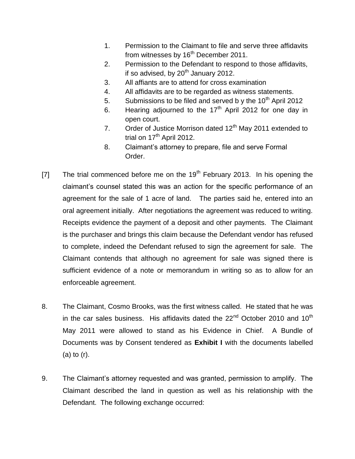- 1. Permission to the Claimant to file and serve three affidavits from witnesses by 16<sup>th</sup> December 2011.
- 2. Permission to the Defendant to respond to those affidavits, if so advised, by  $20<sup>th</sup>$  January 2012.
- 3. All affiants are to attend for cross examination
- 4. All affidavits are to be regarded as witness statements.
- 5. Submissions to be filed and served b y the  $10^{th}$  April 2012
- 6. Hearing adjourned to the  $17<sup>th</sup>$  April 2012 for one day in open court.
- 7. Order of Justice Morrison dated  $12<sup>th</sup>$  May 2011 extended to trial on  $17<sup>th</sup>$  April 2012.
- 8. Claimant's attorney to prepare, file and serve Formal Order.
- [7] The trial commenced before me on the  $19<sup>th</sup>$  February 2013. In his opening the claimant's counsel stated this was an action for the specific performance of an agreement for the sale of 1 acre of land. The parties said he, entered into an oral agreement initially. After negotiations the agreement was reduced to writing. Receipts evidence the payment of a deposit and other payments. The Claimant is the purchaser and brings this claim because the Defendant vendor has refused to complete, indeed the Defendant refused to sign the agreement for sale. The Claimant contends that although no agreement for sale was signed there is sufficient evidence of a note or memorandum in writing so as to allow for an enforceable agreement.
- 8. The Claimant, Cosmo Brooks, was the first witness called. He stated that he was in the car sales business. His affidavits dated the  $22<sup>nd</sup>$  October 2010 and 10<sup>th</sup> May 2011 were allowed to stand as his Evidence in Chief. A Bundle of Documents was by Consent tendered as **Exhibit I** with the documents labelled (a) to (r).
- 9. The Claimant's attorney requested and was granted, permission to amplify. The Claimant described the land in question as well as his relationship with the Defendant. The following exchange occurred: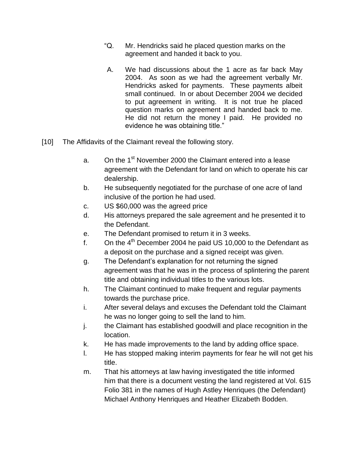- "Q. Mr. Hendricks said he placed question marks on the agreement and handed it back to you.
- A. We had discussions about the 1 acre as far back May 2004. As soon as we had the agreement verbally Mr. Hendricks asked for payments. These payments albeit small continued. In or about December 2004 we decided to put agreement in writing. It is not true he placed question marks on agreement and handed back to me. He did not return the money I paid. He provided no evidence he was obtaining title."
- [10] The Affidavits of the Claimant reveal the following story.
	- a. On the 1<sup>st</sup> November 2000 the Claimant entered into a lease agreement with the Defendant for land on which to operate his car dealership.
	- b. He subsequently negotiated for the purchase of one acre of land inclusive of the portion he had used.
	- c. US \$60,000 was the agreed price
	- d. His attorneys prepared the sale agreement and he presented it to the Defendant.
	- e. The Defendant promised to return it in 3 weeks.
	- f. On the  $4<sup>th</sup>$  December 2004 he paid US 10,000 to the Defendant as a deposit on the purchase and a signed receipt was given.
	- g. The Defendant's explanation for not returning the signed agreement was that he was in the process of splintering the parent title and obtaining individual titles to the various lots.
	- h. The Claimant continued to make frequent and regular payments towards the purchase price.
	- i. After several delays and excuses the Defendant told the Claimant he was no longer going to sell the land to him.
	- j. the Claimant has established goodwill and place recognition in the location.
	- k. He has made improvements to the land by adding office space.
	- l. He has stopped making interim payments for fear he will not get his title.
	- m. That his attorneys at law having investigated the title informed him that there is a document vesting the land registered at Vol. 615 Folio 381 in the names of Hugh Astley Henriques (the Defendant) Michael Anthony Henriques and Heather Elizabeth Bodden.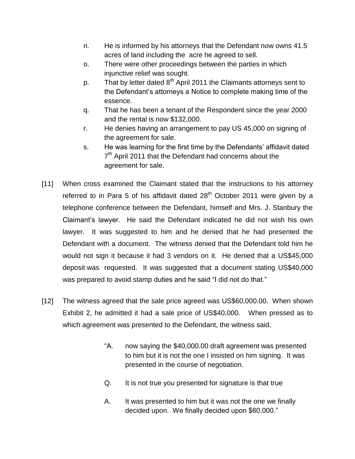- n. He is informed by his attorneys that the Defendant now owns 41.5 acres of land including the acre he agreed to sell.
- o. There were other proceedings between the parties in which injunctive relief was sought.
- p. That by letter dated  $8^{th}$  April 2011 the Claimants attorneys sent to the Defendant's attorneys a Notice to complete making time of the essence.
- q. That he has been a tenant of the Respondent since the year 2000 and the rental is now \$132,000.
- r. He denies having an arrangement to pay US 45,000 on signing of the agreement for sale.
- s. He was learning for the first time by the Defendants' affidavit dated 7<sup>th</sup> April 2011 that the Defendant had concerns about the agreement for sale.
- [11] When cross examined the Claimant stated that the instructions to his attorney referred to in Para 5 of his affidavit dated  $28<sup>th</sup>$  October 2011 were given by a telephone conference between the Defendant, himself and Mrs. J. Stanbury the Claimant's lawyer. He said the Defendant indicated he did not wish his own lawyer. It was suggested to him and he denied that he had presented the Defendant with a document. The witness denied that the Defendant told him he would not sign it because it had 3 vendors on it. He denied that a US\$45,000 deposit was requested. It was suggested that a document stating US\$40,000 was prepared to avoid stamp duties and he said "I did not do that."
- [12] The witness agreed that the sale price agreed was US\$60,000.00. When shown Exhibit 2, he admitted it had a sale price of US\$40,000. When pressed as to which agreement was presented to the Defendant, the witness said,
	- "A. now saying the \$40,000.00 draft agreement was presented to him but it is not the one I insisted on him signing. It was presented in the course of negotiation.
	- Q. It is not true you presented for signature is that true
	- A. It was presented to him but it was not the one we finally decided upon. We finally decided upon \$60,000."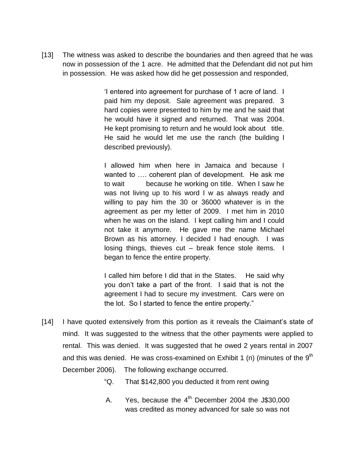[13] The witness was asked to describe the boundaries and then agreed that he was now in possession of the 1 acre. He admitted that the Defendant did not put him in possession. He was asked how did he get possession and responded,

> 'I entered into agreement for purchase of 1 acre of land. I paid him my deposit. Sale agreement was prepared. 3 hard copies were presented to him by me and he said that he would have it signed and returned. That was 2004. He kept promising to return and he would look about title. He said he would let me use the ranch (the building I described previously).

> I allowed him when here in Jamaica and because I wanted to …. coherent plan of development. He ask me to wait because he working on title. When I saw he was not living up to his word I w as always ready and willing to pay him the 30 or 36000 whatever is in the agreement as per my letter of 2009. I met him in 2010 when he was on the island. I kept calling him and I could not take it anymore. He gave me the name Michael Brown as his attorney. I decided I had enough. I was losing things, thieves cut – break fence stole items. I began to fence the entire property.

> I called him before I did that in the States. He said why you don't take a part of the front. I said that is not the agreement I had to secure my investment. Cars were on the lot. So I started to fence the entire property."

- [14] I have quoted extensively from this portion as it reveals the Claimant's state of mind. It was suggested to the witness that the other payments were applied to rental. This was denied. It was suggested that he owed 2 years rental in 2007 and this was denied. He was cross-examined on Exhibit 1 (n) (minutes of the  $9<sup>th</sup>$ December 2006). The following exchange occurred.
	- "Q. That \$142,800 you deducted it from rent owing
	- A. Yes, because the  $4<sup>th</sup>$  December 2004 the J\$30,000 was credited as money advanced for sale so was not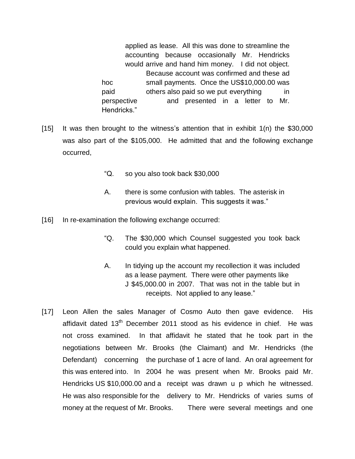applied as lease. All this was done to streamline the accounting because occasionally Mr. Hendricks would arrive and hand him money. I did not object. Because account was confirmed and these ad hoc small payments. Once the US\$10,000.00 was paid bothers also paid so we put everything in perspective and presented in a letter to Mr. Hendricks."

- [15] It was then brought to the witness's attention that in exhibit 1(n) the \$30,000 was also part of the \$105,000. He admitted that and the following exchange occurred,
	- "Q. so you also took back \$30,000
	- A. there is some confusion with tables. The asterisk in previous would explain. This suggests it was."
- [16] In re-examination the following exchange occurred:
	- "Q. The \$30,000 which Counsel suggested you took back could you explain what happened.
	- A. In tidying up the account my recollection it was included as a lease payment. There were other payments like J \$45,000.00 in 2007. That was not in the table but in receipts. Not applied to any lease."
- [17] Leon Allen the sales Manager of Cosmo Auto then gave evidence. His affidavit dated  $13<sup>th</sup>$  December 2011 stood as his evidence in chief. He was not cross examined. In that affidavit he stated that he took part in the negotiations between Mr. Brooks (the Claimant) and Mr. Hendricks (the Defendant) concerning the purchase of 1 acre of land. An oral agreement for this was entered into. In 2004 he was present when Mr. Brooks paid Mr. Hendricks US \$10,000.00 and a receipt was drawn u p which he witnessed. He was also responsible for the delivery to Mr. Hendricks of varies sums of money at the request of Mr. Brooks. There were several meetings and one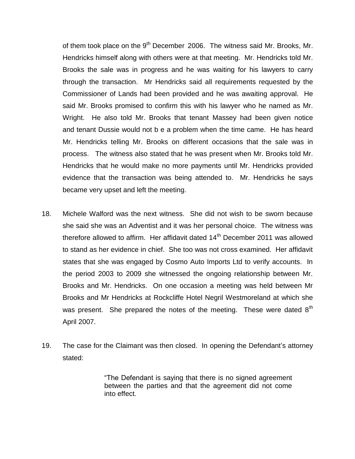of them took place on the 9<sup>th</sup> December 2006. The witness said Mr. Brooks, Mr. Hendricks himself along with others were at that meeting. Mr. Hendricks told Mr. Brooks the sale was in progress and he was waiting for his lawyers to carry through the transaction. Mr Hendricks said all requirements requested by the Commissioner of Lands had been provided and he was awaiting approval. He said Mr. Brooks promised to confirm this with his lawyer who he named as Mr. Wright. He also told Mr. Brooks that tenant Massey had been given notice and tenant Dussie would not b e a problem when the time came. He has heard Mr. Hendricks telling Mr. Brooks on different occasions that the sale was in process. The witness also stated that he was present when Mr. Brooks told Mr. Hendricks that he would make no more payments until Mr. Hendricks provided evidence that the transaction was being attended to. Mr. Hendricks he says became very upset and left the meeting.

- 18. Michele Walford was the next witness. She did not wish to be sworn because she said she was an Adventist and it was her personal choice. The witness was therefore allowed to affirm. Her affidavit dated  $14<sup>th</sup>$  December 2011 was allowed to stand as her evidence in chief. She too was not cross examined. Her affidavit states that she was engaged by Cosmo Auto Imports Ltd to verify accounts. In the period 2003 to 2009 she witnessed the ongoing relationship between Mr. Brooks and Mr. Hendricks. On one occasion a meeting was held between Mr Brooks and Mr Hendricks at Rockcliffe Hotel Negril Westmoreland at which she was present. She prepared the notes of the meeting. These were dated  $8<sup>th</sup>$ April 2007.
- 19. The case for the Claimant was then closed. In opening the Defendant's attorney stated:

"The Defendant is saying that there is no signed agreement between the parties and that the agreement did not come into effect.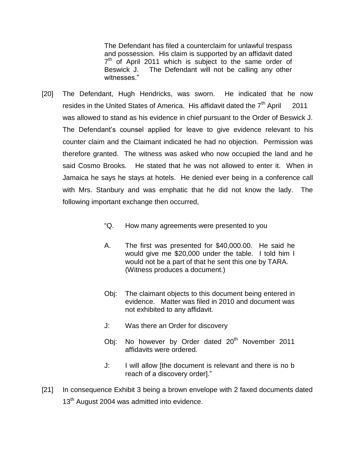The Defendant has filed a counterclaim for unlawful trespass and possession. His claim is supported by an affidavit dated  $7<sup>th</sup>$  of April 2011 which is subject to the same order of Beswick J. The Defendant will not be calling any other witnesses<sup>"</sup>

- [20] The Defendant, Hugh Hendricks, was sworn. He indicated that he now resides in the United States of America. His affidavit dated the  $7<sup>th</sup>$  April 2011 was allowed to stand as his evidence in chief pursuant to the Order of Beswick J. The Defendant's counsel applied for leave to give evidence relevant to his counter claim and the Claimant indicated he had no objection. Permission was therefore granted. The witness was asked who now occupied the land and he said Cosmo Brooks. He stated that he was not allowed to enter it. When in Jamaica he says he stays at hotels. He denied ever being in a conference call with Mrs. Stanbury and was emphatic that he did not know the lady. The following important exchange then occurred,
	- "Q. How many agreements were presented to you
	- A. The first was presented for \$40,000.00. He said he would give me \$20,000 under the table. I told him I would not be a part of that he sent this one by TARA. (Witness produces a document.)
	- Obj: The claimant objects to this document being entered in evidence. Matter was filed in 2010 and document was not exhibited to any affidavit.
	- J: Was there an Order for discovery
	- Obj: No however by Order dated 20<sup>th</sup> November 2011 affidavits were ordered.
	- J: I will allow [the document is relevant and there is no b reach of a discovery order]."
- [21] In consequence Exhibit 3 being a brown envelope with 2 faxed documents dated 13<sup>th</sup> August 2004 was admitted into evidence.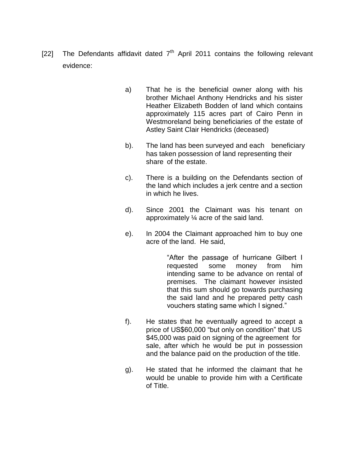- [22] The Defendants affidavit dated  $7<sup>th</sup>$  April 2011 contains the following relevant evidence:
	- a) That he is the beneficial owner along with his brother Michael Anthony Hendricks and his sister Heather Elizabeth Bodden of land which contains approximately 115 acres part of Cairo Penn in Westmoreland being beneficiaries of the estate of Astley Saint Clair Hendricks (deceased)
	- b). The land has been surveyed and each beneficiary has taken possession of land representing their share of the estate.
	- c). There is a building on the Defendants section of the land which includes a jerk centre and a section in which he lives.
	- d). Since 2001 the Claimant was his tenant on approximately ¼ acre of the said land.
	- e). In 2004 the Claimant approached him to buy one acre of the land. He said,

"After the passage of hurricane Gilbert I requested some money from him intending same to be advance on rental of premises. The claimant however insisted that this sum should go towards purchasing the said land and he prepared petty cash vouchers stating same which I signed."

- f). He states that he eventually agreed to accept a price of US\$60,000 "but only on condition" that US \$45,000 was paid on signing of the agreement for sale, after which he would be put in possession and the balance paid on the production of the title.
- g). He stated that he informed the claimant that he would be unable to provide him with a Certificate of Title.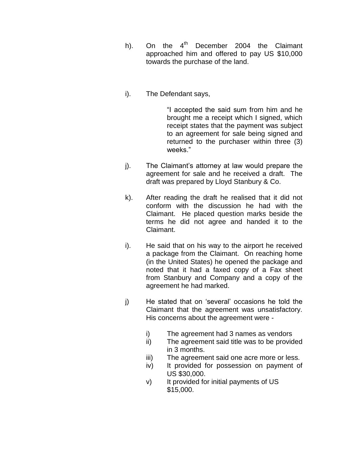- h). On the  $4<sup>th</sup>$  December 2004 the Claimant approached him and offered to pay US \$10,000 towards the purchase of the land.
- i). The Defendant says,

"I accepted the said sum from him and he brought me a receipt which I signed, which receipt states that the payment was subject to an agreement for sale being signed and returned to the purchaser within three (3) weeks."

- j). The Claimant's attorney at law would prepare the agreement for sale and he received a draft. The draft was prepared by Lloyd Stanbury & Co.
- k). After reading the draft he realised that it did not conform with the discussion he had with the Claimant. He placed question marks beside the terms he did not agree and handed it to the Claimant.
- i). He said that on his way to the airport he received a package from the Claimant. On reaching home (in the United States) he opened the package and noted that it had a faxed copy of a Fax sheet from Stanbury and Company and a copy of the agreement he had marked.
- j) He stated that on 'several' occasions he told the Claimant that the agreement was unsatisfactory. His concerns about the agreement were
	- i) The agreement had 3 names as vendors
	- ii) The agreement said title was to be provided in 3 months.
	- iii) The agreement said one acre more or less.
	- iv) It provided for possession on payment of US \$30,000.
	- v) It provided for initial payments of US \$15,000.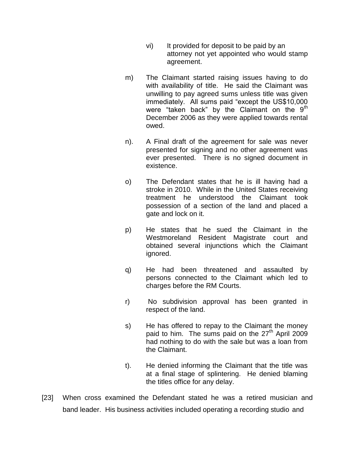- vi) It provided for deposit to be paid by an attorney not yet appointed who would stamp agreement.
- m) The Claimant started raising issues having to do with availability of title. He said the Claimant was unwilling to pay agreed sums unless title was given immediately. All sums paid "except the US\$10,000 were "taken back" by the Claimant on the  $9<sup>th</sup>$ December 2006 as they were applied towards rental owed.
- n). A Final draft of the agreement for sale was never presented for signing and no other agreement was ever presented. There is no signed document in existence.
- o) The Defendant states that he is ill having had a stroke in 2010. While in the United States receiving treatment he understood the Claimant took possession of a section of the land and placed a gate and lock on it.
- p) He states that he sued the Claimant in the Westmoreland Resident Magistrate court and obtained several injunctions which the Claimant ignored.
- q) He had been threatened and assaulted by persons connected to the Claimant which led to charges before the RM Courts.
- r) No subdivision approval has been granted in respect of the land.
- s) He has offered to repay to the Claimant the money paid to him. The sums paid on the  $27<sup>th</sup>$  April 2009 had nothing to do with the sale but was a loan from the Claimant.
- t). He denied informing the Claimant that the title was at a final stage of splintering. He denied blaming the titles office for any delay.
- [23] When cross examined the Defendant stated he was a retired musician and band leader. His business activities included operating a recording studio and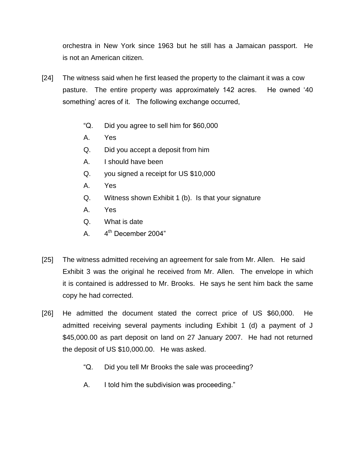orchestra in New York since 1963 but he still has a Jamaican passport. He is not an American citizen.

- [24] The witness said when he first leased the property to the claimant it was a cow pasture. The entire property was approximately 142 acres. He owned '40 something' acres of it. The following exchange occurred,
	- "Q. Did you agree to sell him for \$60,000
	- A. Yes
	- Q. Did you accept a deposit from him
	- A. I should have been
	- Q. you signed a receipt for US \$10,000
	- A. Yes
	- Q. Witness shown Exhibit 1 (b). Is that your signature
	- A. Yes
	- Q. What is date
	- $\mathsf{A}$ .  $4<sup>th</sup>$  December 2004"
- [25] The witness admitted receiving an agreement for sale from Mr. Allen. He said Exhibit 3 was the original he received from Mr. Allen. The envelope in which it is contained is addressed to Mr. Brooks. He says he sent him back the same copy he had corrected.
- [26] He admitted the document stated the correct price of US \$60,000. He admitted receiving several payments including Exhibit 1 (d) a payment of J \$45,000.00 as part deposit on land on 27 January 2007. He had not returned the deposit of US \$10,000.00. He was asked.
	- "Q. Did you tell Mr Brooks the sale was proceeding?
	- A. I told him the subdivision was proceeding."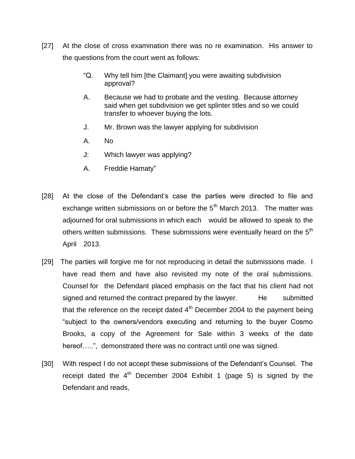- [27] At the close of cross examination there was no re examination. His answer to the questions from the court went as follows:
	- "Q. Why tell him [the Claimant] you were awaiting subdivision approval?
	- A. Because we had to probate and the vesting. Because attorney said when get subdivision we get splinter titles and so we could transfer to whoever buying the lots.
	- J. Mr. Brown was the lawyer applying for subdivision
	- A. No
	- J: Which lawyer was applying?
	- A. Freddie Hamaty"
- [28] At the close of the Defendant's case the parties were directed to file and exchange written submissions on or before the  $5<sup>th</sup>$  March 2013. The matter was adjourned for oral submissions in which each would be allowed to speak to the others written submissions. These submissions were eventually heard on the  $5<sup>th</sup>$ April 2013.
- [29] The parties will forgive me for not reproducing in detail the submissions made. I have read them and have also revisited my note of the oral submissions. Counsel for the Defendant placed emphasis on the fact that his client had not signed and returned the contract prepared by the lawyer. He submitted that the reference on the receipt dated  $4<sup>th</sup>$  December 2004 to the payment being "subject to the owners/vendors executing and returning to the buyer Cosmo Brooks, a copy of the Agreement for Sale within 3 weeks of the date hereof…..", demonstrated there was no contract until one was signed.
- [30] With respect I do not accept these submissions of the Defendant's Counsel. The receipt dated the  $4<sup>th</sup>$  December 2004 Exhibit 1 (page 5) is signed by the Defendant and reads,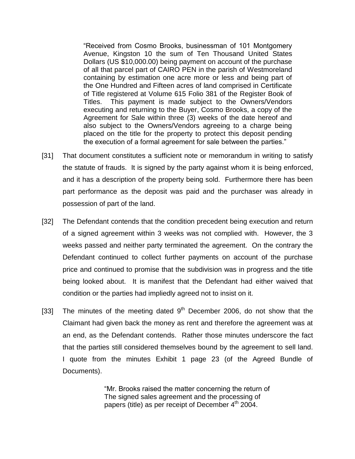"Received from Cosmo Brooks, businessman of 101 Montgomery Avenue, Kingston 10 the sum of Ten Thousand United States Dollars (US \$10,000.00) being payment on account of the purchase of all that parcel part of CAIRO PEN in the parish of Westmoreland containing by estimation one acre more or less and being part of the One Hundred and Fifteen acres of land comprised in Certificate of Title registered at Volume 615 Folio 381 of the Register Book of Titles. This payment is made subject to the Owners/Vendors executing and returning to the Buyer, Cosmo Brooks, a copy of the Agreement for Sale within three (3) weeks of the date hereof and also subject to the Owners/Vendors agreeing to a charge being placed on the title for the property to protect this deposit pending the execution of a formal agreement for sale between the parties."

- [31] That document constitutes a sufficient note or memorandum in writing to satisfy the statute of frauds. It is signed by the party against whom it is being enforced, and it has a description of the property being sold. Furthermore there has been part performance as the deposit was paid and the purchaser was already in possession of part of the land.
- [32] The Defendant contends that the condition precedent being execution and return of a signed agreement within 3 weeks was not complied with. However, the 3 weeks passed and neither party terminated the agreement. On the contrary the Defendant continued to collect further payments on account of the purchase price and continued to promise that the subdivision was in progress and the title being looked about. It is manifest that the Defendant had either waived that condition or the parties had impliedly agreed not to insist on it.
- [33] The minutes of the meeting dated  $9<sup>th</sup>$  December 2006, do not show that the Claimant had given back the money as rent and therefore the agreement was at an end, as the Defendant contends. Rather those minutes underscore the fact that the parties still considered themselves bound by the agreement to sell land. I quote from the minutes Exhibit 1 page 23 (of the Agreed Bundle of Documents).

"Mr. Brooks raised the matter concerning the return of The signed sales agreement and the processing of papers (title) as per receipt of December  $4<sup>th</sup>$  2004.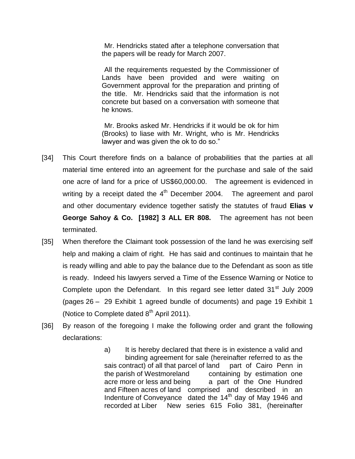Mr. Hendricks stated after a telephone conversation that the papers will be ready for March 2007.

All the requirements requested by the Commissioner of Lands have been provided and were waiting on Government approval for the preparation and printing of the title. Mr. Hendricks said that the information is not concrete but based on a conversation with someone that he knows.

Mr. Brooks asked Mr. Hendricks if it would be ok for him (Brooks) to liase with Mr. Wright, who is Mr. Hendricks lawyer and was given the ok to do so."

- [34] This Court therefore finds on a balance of probabilities that the parties at all material time entered into an agreement for the purchase and sale of the said one acre of land for a price of US\$60,000.00. The agreement is evidenced in writing by a receipt dated the  $4<sup>th</sup>$  December 2004. The agreement and parol and other documentary evidence together satisfy the statutes of fraud **Elias v George Sahoy & Co. [1982] 3 ALL ER 808.** The agreement has not been terminated.
- [35] When therefore the Claimant took possession of the land he was exercising self help and making a claim of right. He has said and continues to maintain that he is ready willing and able to pay the balance due to the Defendant as soon as title is ready. Indeed his lawyers served a Time of the Essence Warning or Notice to Complete upon the Defendant. In this regard see letter dated  $31<sup>st</sup>$  July 2009 (pages 26 – 29 Exhibit 1 agreed bundle of documents) and page 19 Exhibit 1 (Notice to Complete dated  $8<sup>th</sup>$  April 2011).
- [36] By reason of the foregoing I make the following order and grant the following declarations:
	- a) It is hereby declared that there is in existence a valid and binding agreement for sale (hereinafter referred to as the sais contract) of all that parcel of land part of Cairo Penn in the parish of Westmoreland containing by estimation one acre more or less and being a part of the One Hundred and Fifteen acres of land comprised and described in an Indenture of Conveyance dated the 14<sup>th</sup> day of May 1946 and recorded at Liber New series 615 Folio 381, (hereinafter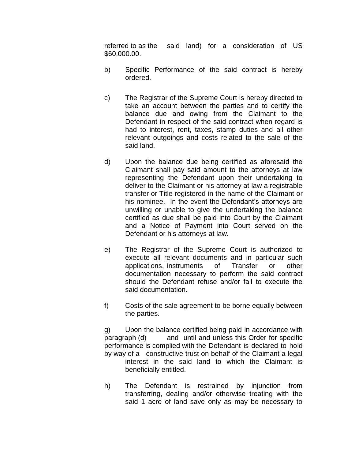referred to as the said land) for a consideration of US \$60,000.00.

- b) Specific Performance of the said contract is hereby ordered.
- c) The Registrar of the Supreme Court is hereby directed to take an account between the parties and to certify the balance due and owing from the Claimant to the Defendant in respect of the said contract when regard is had to interest, rent, taxes, stamp duties and all other relevant outgoings and costs related to the sale of the said land.
- d) Upon the balance due being certified as aforesaid the Claimant shall pay said amount to the attorneys at law representing the Defendant upon their undertaking to deliver to the Claimant or his attorney at law a registrable transfer or Title registered in the name of the Claimant or his nominee. In the event the Defendant's attorneys are unwilling or unable to give the undertaking the balance certified as due shall be paid into Court by the Claimant and a Notice of Payment into Court served on the Defendant or his attorneys at law.
- e) The Registrar of the Supreme Court is authorized to execute all relevant documents and in particular such applications, instruments of Transfer or other documentation necessary to perform the said contract should the Defendant refuse and/or fail to execute the said documentation.
- f) Costs of the sale agreement to be borne equally between the parties.

g) Upon the balance certified being paid in accordance with paragraph (d) and until and unless this Order for specific performance is complied with the Defendant is declared to hold by way of a constructive trust on behalf of the Claimant a legal interest in the said land to which the Claimant is beneficially entitled.

h) The Defendant is restrained by injunction from transferring, dealing and/or otherwise treating with the said 1 acre of land save only as may be necessary to